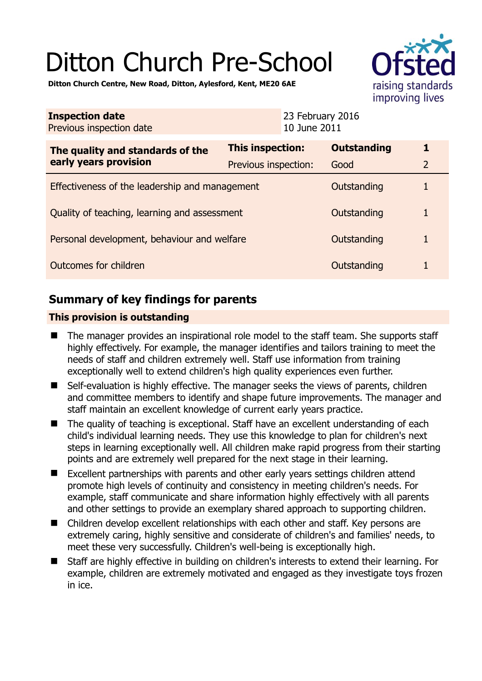# Ditton Church Pre-School

raising standards improving lives

**Ditton Church Centre, New Road, Ditton, Aylesford, Kent, ME20 6AE** 

| <b>Inspection date</b><br>Previous inspection date        |                         | 23 February 2016<br>10 June 2011 |                    |                |
|-----------------------------------------------------------|-------------------------|----------------------------------|--------------------|----------------|
| The quality and standards of the<br>early years provision | <b>This inspection:</b> |                                  | <b>Outstanding</b> |                |
|                                                           | Previous inspection:    |                                  | Good               | $\overline{2}$ |
| Effectiveness of the leadership and management            |                         |                                  | Outstanding        |                |
| Quality of teaching, learning and assessment              |                         |                                  | Outstanding        |                |
| Personal development, behaviour and welfare               |                         |                                  | Outstanding        |                |
| Outcomes for children                                     |                         |                                  | Outstanding        |                |

## **Summary of key findings for parents**

## **This provision is outstanding**

- The manager provides an inspirational role model to the staff team. She supports staff highly effectively. For example, the manager identifies and tailors training to meet the needs of staff and children extremely well. Staff use information from training exceptionally well to extend children's high quality experiences even further.
- Self-evaluation is highly effective. The manager seeks the views of parents, children and committee members to identify and shape future improvements. The manager and staff maintain an excellent knowledge of current early years practice.
- The quality of teaching is exceptional. Staff have an excellent understanding of each child's individual learning needs. They use this knowledge to plan for children's next steps in learning exceptionally well. All children make rapid progress from their starting points and are extremely well prepared for the next stage in their learning.
- Excellent partnerships with parents and other early years settings children attend promote high levels of continuity and consistency in meeting children's needs. For example, staff communicate and share information highly effectively with all parents and other settings to provide an exemplary shared approach to supporting children.
- Children develop excellent relationships with each other and staff. Key persons are extremely caring, highly sensitive and considerate of children's and families' needs, to meet these very successfully. Children's well-being is exceptionally high.
- Staff are highly effective in building on children's interests to extend their learning. For example, children are extremely motivated and engaged as they investigate toys frozen in ice.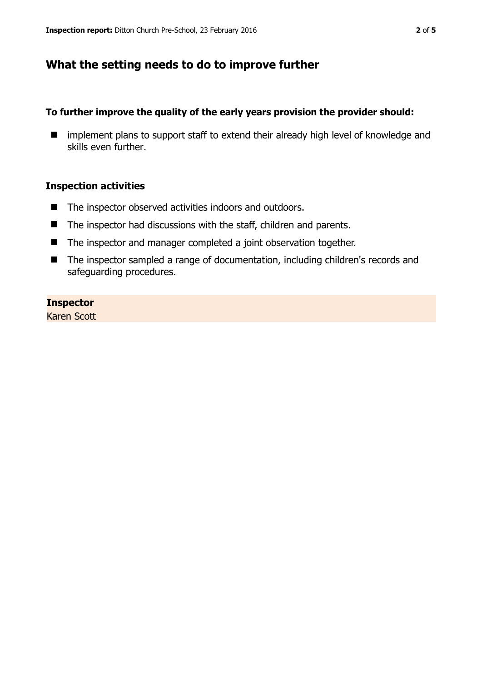## **What the setting needs to do to improve further**

## **To further improve the quality of the early years provision the provider should:**

**If** implement plans to support staff to extend their already high level of knowledge and skills even further.

#### **Inspection activities**

- The inspector observed activities indoors and outdoors.
- The inspector had discussions with the staff, children and parents.
- The inspector and manager completed a joint observation together.
- The inspector sampled a range of documentation, including children's records and safeguarding procedures.

#### **Inspector**

Karen Scott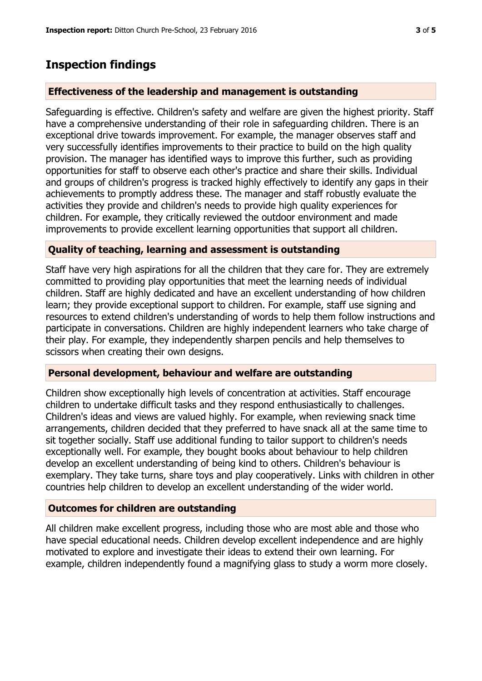## **Inspection findings**

## **Effectiveness of the leadership and management is outstanding**

Safeguarding is effective. Children's safety and welfare are given the highest priority. Staff have a comprehensive understanding of their role in safeguarding children. There is an exceptional drive towards improvement. For example, the manager observes staff and very successfully identifies improvements to their practice to build on the high quality provision. The manager has identified ways to improve this further, such as providing opportunities for staff to observe each other's practice and share their skills. Individual and groups of children's progress is tracked highly effectively to identify any gaps in their achievements to promptly address these. The manager and staff robustly evaluate the activities they provide and children's needs to provide high quality experiences for children. For example, they critically reviewed the outdoor environment and made improvements to provide excellent learning opportunities that support all children.

### **Quality of teaching, learning and assessment is outstanding**

Staff have very high aspirations for all the children that they care for. They are extremely committed to providing play opportunities that meet the learning needs of individual children. Staff are highly dedicated and have an excellent understanding of how children learn; they provide exceptional support to children. For example, staff use signing and resources to extend children's understanding of words to help them follow instructions and participate in conversations. Children are highly independent learners who take charge of their play. For example, they independently sharpen pencils and help themselves to scissors when creating their own designs.

### **Personal development, behaviour and welfare are outstanding**

Children show exceptionally high levels of concentration at activities. Staff encourage children to undertake difficult tasks and they respond enthusiastically to challenges. Children's ideas and views are valued highly. For example, when reviewing snack time arrangements, children decided that they preferred to have snack all at the same time to sit together socially. Staff use additional funding to tailor support to children's needs exceptionally well. For example, they bought books about behaviour to help children develop an excellent understanding of being kind to others. Children's behaviour is exemplary. They take turns, share toys and play cooperatively. Links with children in other countries help children to develop an excellent understanding of the wider world.

### **Outcomes for children are outstanding**

All children make excellent progress, including those who are most able and those who have special educational needs. Children develop excellent independence and are highly motivated to explore and investigate their ideas to extend their own learning. For example, children independently found a magnifying glass to study a worm more closely.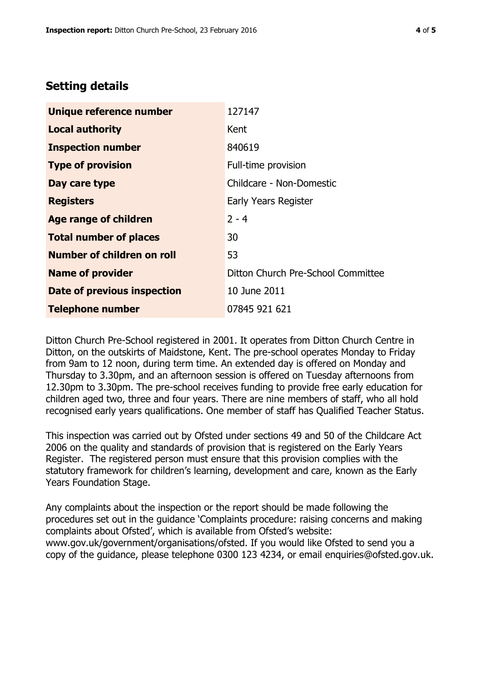## **Setting details**

| Unique reference number       | 127147                             |  |
|-------------------------------|------------------------------------|--|
| <b>Local authority</b>        | Kent                               |  |
| <b>Inspection number</b>      | 840619                             |  |
| <b>Type of provision</b>      | Full-time provision                |  |
| Day care type                 | Childcare - Non-Domestic           |  |
| <b>Registers</b>              | Early Years Register               |  |
| Age range of children         | $2 - 4$                            |  |
| <b>Total number of places</b> | 30                                 |  |
| Number of children on roll    | 53                                 |  |
| <b>Name of provider</b>       | Ditton Church Pre-School Committee |  |
| Date of previous inspection   | 10 June 2011                       |  |
| <b>Telephone number</b>       | 07845 921 621                      |  |

Ditton Church Pre-School registered in 2001. It operates from Ditton Church Centre in Ditton, on the outskirts of Maidstone, Kent. The pre-school operates Monday to Friday from 9am to 12 noon, during term time. An extended day is offered on Monday and Thursday to 3.30pm, and an afternoon session is offered on Tuesday afternoons from 12.30pm to 3.30pm. The pre-school receives funding to provide free early education for children aged two, three and four years. There are nine members of staff, who all hold recognised early years qualifications. One member of staff has Qualified Teacher Status.

This inspection was carried out by Ofsted under sections 49 and 50 of the Childcare Act 2006 on the quality and standards of provision that is registered on the Early Years Register. The registered person must ensure that this provision complies with the statutory framework for children's learning, development and care, known as the Early Years Foundation Stage.

Any complaints about the inspection or the report should be made following the procedures set out in the guidance 'Complaints procedure: raising concerns and making complaints about Ofsted', which is available from Ofsted's website: www.gov.uk/government/organisations/ofsted. If you would like Ofsted to send you a copy of the guidance, please telephone 0300 123 4234, or email enquiries@ofsted.gov.uk.